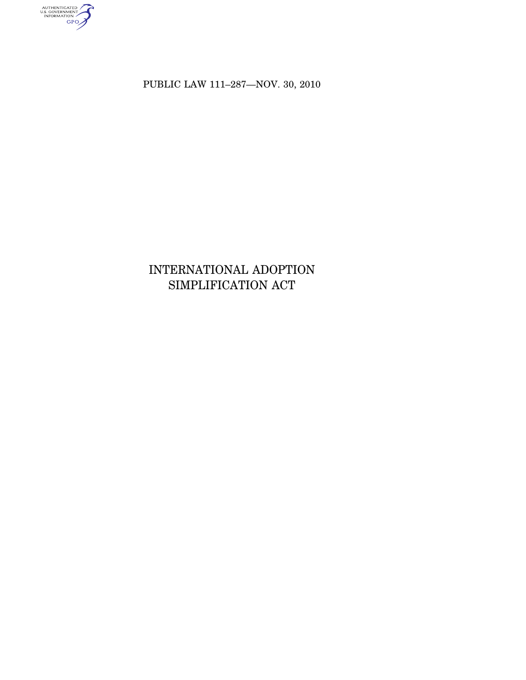AUTHENTICATED<br>U.S. GOVERNMENT<br>INFORMATION<br>GPO

PUBLIC LAW 111-287-NOV. 30, 2010

# INTERNATIONAL ADOPTION SIMPLIFICATION ACT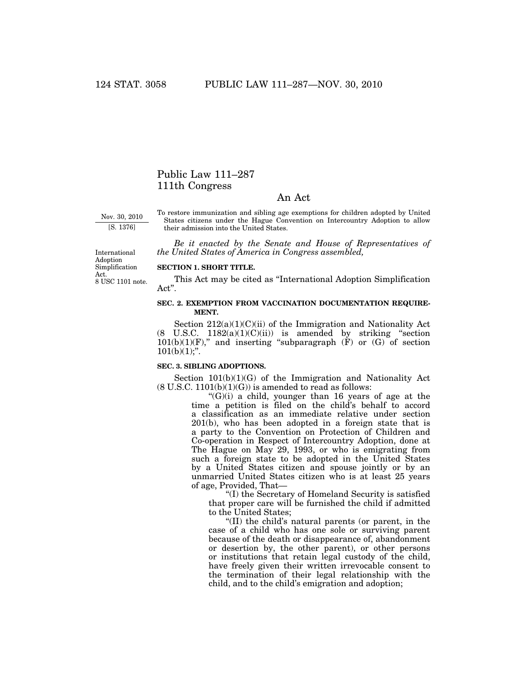# Public Law 111–287 111th Congress

## An Act

Nov. 30, 2010 [S. 1376]

To restore immunization and sibling age exemptions for children adopted by United States citizens under the Hague Convention on Intercountry Adoption to allow their admission into the United States.

*Be it enacted by the Senate and House of Representatives of the United States of America in Congress assembled,* 

International Adoption Simplification Act. 8 USC 1101 note.

#### **SECTION 1. SHORT TITLE.**

This Act may be cited as ''International Adoption Simplification Act''.

### **SEC. 2. EXEMPTION FROM VACCINATION DOCUMENTATION REQUIRE-MENT.**

Section  $212(a)(1)(C)(ii)$  of the Immigration and Nationality Act  $(8 \text{ U.S.C. } 1182(a)(1)(C)(ii))$  is amended by striking "section  $101(b)(1)(F)$ ," and inserting "subparagraph  $(F)$  or  $(G)$  of section  $101(b)(1)$ ;".

#### **SEC. 3. SIBLING ADOPTIONS.**

Section 101(b)(1)(G) of the Immigration and Nationality Act  $(8 \text{ U.S.C. } 1101(b)(1)(G))$  is amended to read as follows:

> $C'(G)(i)$  a child, younger than 16 years of age at the time a petition is filed on the child's behalf to accord a classification as an immediate relative under section 201(b), who has been adopted in a foreign state that is a party to the Convention on Protection of Children and Co-operation in Respect of Intercountry Adoption, done at The Hague on May 29, 1993, or who is emigrating from such a foreign state to be adopted in the United States by a United States citizen and spouse jointly or by an unmarried United States citizen who is at least 25 years of age, Provided, That—

''(I) the Secretary of Homeland Security is satisfied that proper care will be furnished the child if admitted to the United States;

''(II) the child's natural parents (or parent, in the case of a child who has one sole or surviving parent because of the death or disappearance of, abandonment or desertion by, the other parent), or other persons or institutions that retain legal custody of the child, have freely given their written irrevocable consent to the termination of their legal relationship with the child, and to the child's emigration and adoption;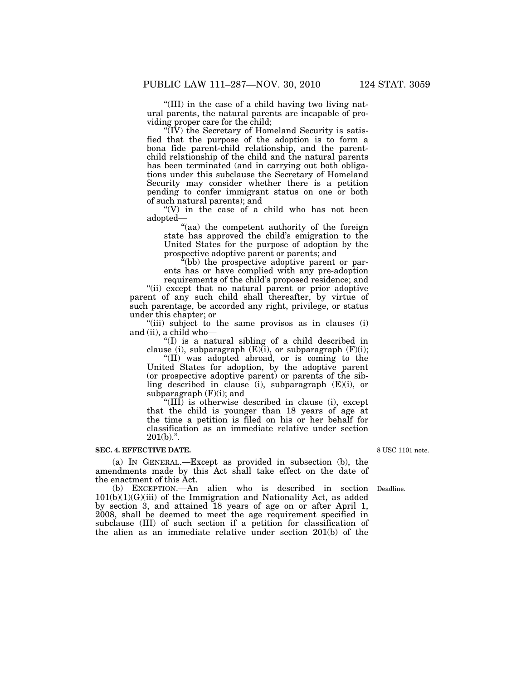''(III) in the case of a child having two living natural parents, the natural parents are incapable of providing proper care for the child;

 $\sqrt[\text{i}]{\text{IV}}$  the Secretary of Homeland Security is satisfied that the purpose of the adoption is to form a bona fide parent-child relationship, and the parentchild relationship of the child and the natural parents has been terminated (and in carrying out both obligations under this subclause the Secretary of Homeland Security may consider whether there is a petition pending to confer immigrant status on one or both of such natural parents); and

" $(V)$  in the case of a child who has not been adopted—

"(aa) the competent authority of the foreign state has approved the child's emigration to the United States for the purpose of adoption by the prospective adoptive parent or parents; and

"(bb) the prospective adoptive parent or parents has or have complied with any pre-adoption requirements of the child's proposed residence; and

"(ii) except that no natural parent or prior adoptive parent of any such child shall thereafter, by virtue of such parentage, be accorded any right, privilege, or status under this chapter; or

''(iii) subject to the same provisos as in clauses (i) and (ii), a child who—

''(I) is a natural sibling of a child described in clause (i), subparagraph  $(E)(i)$ , or subparagraph  $(F)(i)$ ;

''(II) was adopted abroad, or is coming to the United States for adoption, by the adoptive parent (or prospective adoptive parent) or parents of the sibling described in clause (i), subparagraph (E)(i), or subparagraph  $(F)(i)$ ; and

''(III) is otherwise described in clause (i), except that the child is younger than 18 years of age at the time a petition is filed on his or her behalf for classification as an immediate relative under section  $201(b)$ .".

## **SEC. 4. EFFECTIVE DATE.**

(a) IN GENERAL.—Except as provided in subsection (b), the amendments made by this Act shall take effect on the date of the enactment of this Act.

(b) EXCEPTION.—An alien who is described in section  $101(b)(1)(G)(iii)$  of the Immigration and Nationality Act, as added by section 3, and attained 18 years of age on or after April 1, 2008, shall be deemed to meet the age requirement specified in subclause (III) of such section if a petition for classification of the alien as an immediate relative under section 201(b) of the

8 USC 1101 note.

Deadline.